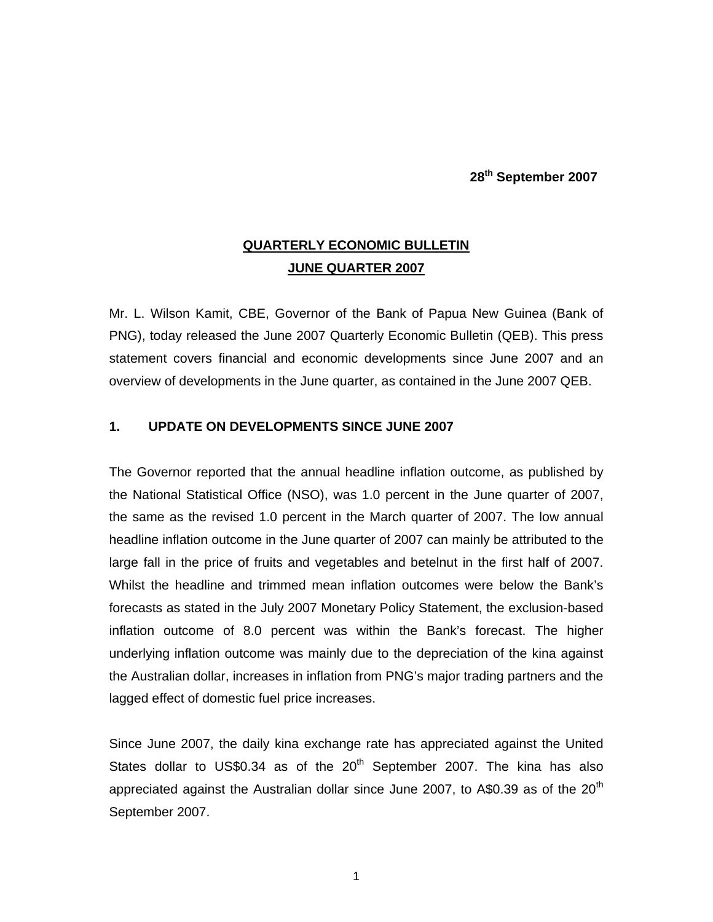**28th September 2007** 

## **QUARTERLY ECONOMIC BULLETIN JUNE QUARTER 2007**

Mr. L. Wilson Kamit, CBE, Governor of the Bank of Papua New Guinea (Bank of PNG), today released the June 2007 Quarterly Economic Bulletin (QEB). This press statement covers financial and economic developments since June 2007 and an overview of developments in the June quarter, as contained in the June 2007 QEB.

## **1. UPDATE ON DEVELOPMENTS SINCE JUNE 2007**

The Governor reported that the annual headline inflation outcome, as published by the National Statistical Office (NSO), was 1.0 percent in the June quarter of 2007, the same as the revised 1.0 percent in the March quarter of 2007. The low annual headline inflation outcome in the June quarter of 2007 can mainly be attributed to the large fall in the price of fruits and vegetables and betelnut in the first half of 2007. Whilst the headline and trimmed mean inflation outcomes were below the Bank's forecasts as stated in the July 2007 Monetary Policy Statement, the exclusion-based inflation outcome of 8.0 percent was within the Bank's forecast. The higher underlying inflation outcome was mainly due to the depreciation of the kina against the Australian dollar, increases in inflation from PNG's major trading partners and the lagged effect of domestic fuel price increases.

Since June 2007, the daily kina exchange rate has appreciated against the United States dollar to US\$0.34 as of the  $20<sup>th</sup>$  September 2007. The kina has also appreciated against the Australian dollar since June 2007, to A\$0.39 as of the  $20<sup>th</sup>$ September 2007.

 $1$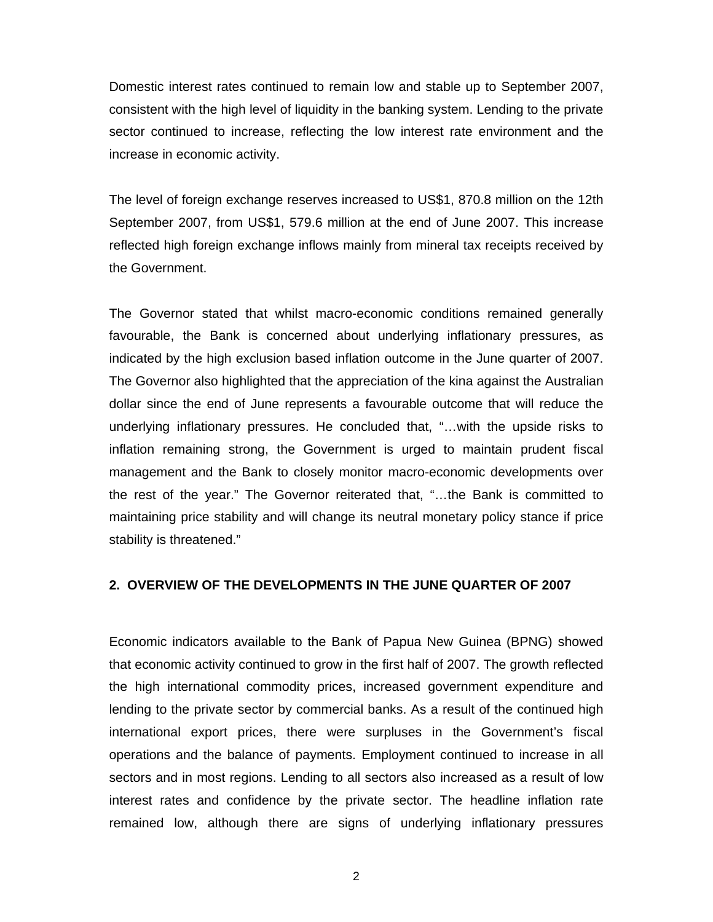Domestic interest rates continued to remain low and stable up to September 2007, consistent with the high level of liquidity in the banking system. Lending to the private sector continued to increase, reflecting the low interest rate environment and the increase in economic activity.

The level of foreign exchange reserves increased to US\$1, 870.8 million on the 12th September 2007, from US\$1, 579.6 million at the end of June 2007. This increase reflected high foreign exchange inflows mainly from mineral tax receipts received by the Government.

The Governor stated that whilst macro-economic conditions remained generally favourable, the Bank is concerned about underlying inflationary pressures, as indicated by the high exclusion based inflation outcome in the June quarter of 2007. The Governor also highlighted that the appreciation of the kina against the Australian dollar since the end of June represents a favourable outcome that will reduce the underlying inflationary pressures. He concluded that, "…with the upside risks to inflation remaining strong, the Government is urged to maintain prudent fiscal management and the Bank to closely monitor macro-economic developments over the rest of the year." The Governor reiterated that, "…the Bank is committed to maintaining price stability and will change its neutral monetary policy stance if price stability is threatened."

## **2. OVERVIEW OF THE DEVELOPMENTS IN THE JUNE QUARTER OF 2007**

Economic indicators available to the Bank of Papua New Guinea (BPNG) showed that economic activity continued to grow in the first half of 2007. The growth reflected the high international commodity prices, increased government expenditure and lending to the private sector by commercial banks. As a result of the continued high international export prices, there were surpluses in the Government's fiscal operations and the balance of payments. Employment continued to increase in all sectors and in most regions. Lending to all sectors also increased as a result of low interest rates and confidence by the private sector. The headline inflation rate remained low, although there are signs of underlying inflationary pressures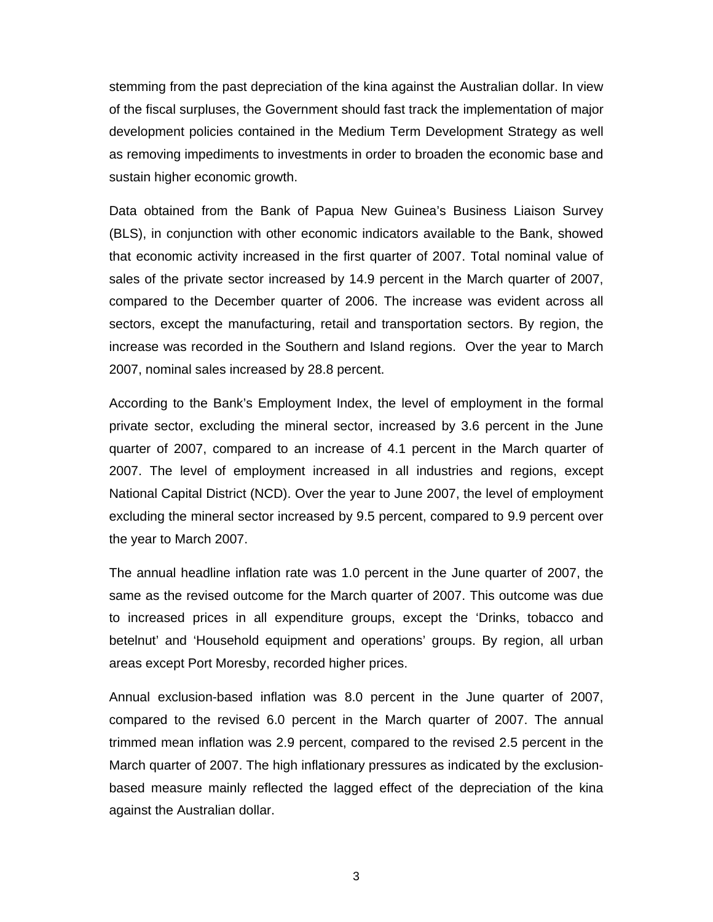stemming from the past depreciation of the kina against the Australian dollar. In view of the fiscal surpluses, the Government should fast track the implementation of major development policies contained in the Medium Term Development Strategy as well as removing impediments to investments in order to broaden the economic base and sustain higher economic growth.

Data obtained from the Bank of Papua New Guinea's Business Liaison Survey (BLS), in conjunction with other economic indicators available to the Bank, showed that economic activity increased in the first quarter of 2007. Total nominal value of sales of the private sector increased by 14.9 percent in the March quarter of 2007, compared to the December quarter of 2006. The increase was evident across all sectors, except the manufacturing, retail and transportation sectors. By region, the increase was recorded in the Southern and Island regions. Over the year to March 2007, nominal sales increased by 28.8 percent.

According to the Bank's Employment Index, the level of employment in the formal private sector, excluding the mineral sector, increased by 3.6 percent in the June quarter of 2007, compared to an increase of 4.1 percent in the March quarter of 2007. The level of employment increased in all industries and regions, except National Capital District (NCD). Over the year to June 2007, the level of employment excluding the mineral sector increased by 9.5 percent, compared to 9.9 percent over the year to March 2007.

The annual headline inflation rate was 1.0 percent in the June quarter of 2007, the same as the revised outcome for the March quarter of 2007. This outcome was due to increased prices in all expenditure groups, except the 'Drinks, tobacco and betelnut' and 'Household equipment and operations' groups. By region, all urban areas except Port Moresby, recorded higher prices.

Annual exclusion-based inflation was 8.0 percent in the June quarter of 2007, compared to the revised 6.0 percent in the March quarter of 2007. The annual trimmed mean inflation was 2.9 percent, compared to the revised 2.5 percent in the March quarter of 2007. The high inflationary pressures as indicated by the exclusionbased measure mainly reflected the lagged effect of the depreciation of the kina against the Australian dollar.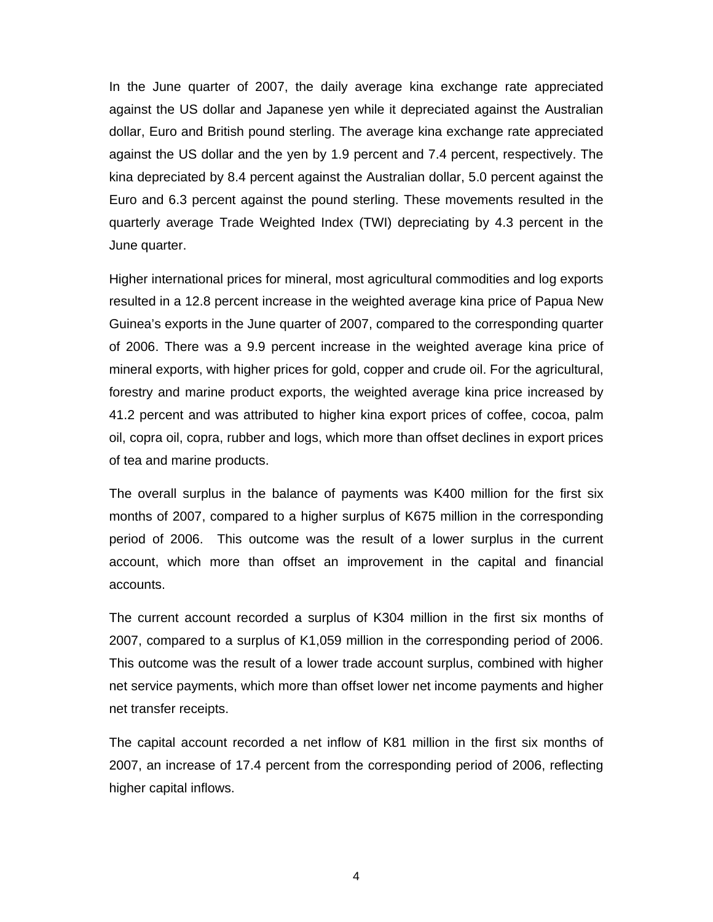In the June quarter of 2007, the daily average kina exchange rate appreciated against the US dollar and Japanese yen while it depreciated against the Australian dollar, Euro and British pound sterling. The average kina exchange rate appreciated against the US dollar and the yen by 1.9 percent and 7.4 percent, respectively. The kina depreciated by 8.4 percent against the Australian dollar, 5.0 percent against the Euro and 6.3 percent against the pound sterling. These movements resulted in the quarterly average Trade Weighted Index (TWI) depreciating by 4.3 percent in the June quarter.

Higher international prices for mineral, most agricultural commodities and log exports resulted in a 12.8 percent increase in the weighted average kina price of Papua New Guinea's exports in the June quarter of 2007, compared to the corresponding quarter of 2006. There was a 9.9 percent increase in the weighted average kina price of mineral exports, with higher prices for gold, copper and crude oil. For the agricultural, forestry and marine product exports, the weighted average kina price increased by 41.2 percent and was attributed to higher kina export prices of coffee, cocoa, palm oil, copra oil, copra, rubber and logs, which more than offset declines in export prices of tea and marine products.

The overall surplus in the balance of payments was K400 million for the first six months of 2007, compared to a higher surplus of K675 million in the corresponding period of 2006. This outcome was the result of a lower surplus in the current account, which more than offset an improvement in the capital and financial accounts.

The current account recorded a surplus of K304 million in the first six months of 2007, compared to a surplus of K1,059 million in the corresponding period of 2006. This outcome was the result of a lower trade account surplus, combined with higher net service payments, which more than offset lower net income payments and higher net transfer receipts.

The capital account recorded a net inflow of K81 million in the first six months of 2007, an increase of 17.4 percent from the corresponding period of 2006, reflecting higher capital inflows.

4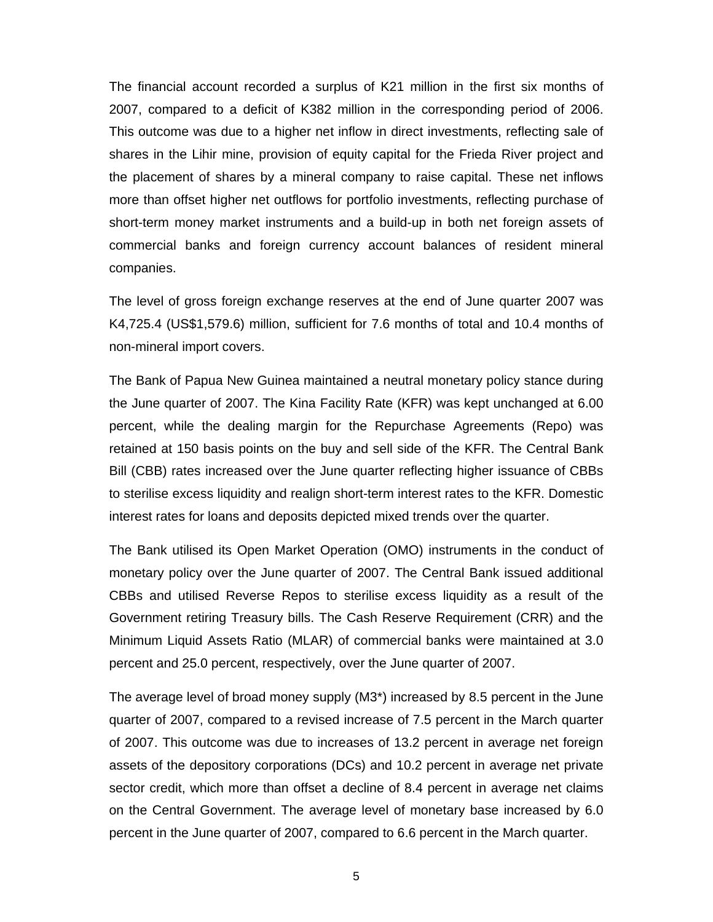The financial account recorded a surplus of K21 million in the first six months of 2007, compared to a deficit of K382 million in the corresponding period of 2006. This outcome was due to a higher net inflow in direct investments, reflecting sale of shares in the Lihir mine, provision of equity capital for the Frieda River project and the placement of shares by a mineral company to raise capital. These net inflows more than offset higher net outflows for portfolio investments, reflecting purchase of short-term money market instruments and a build-up in both net foreign assets of commercial banks and foreign currency account balances of resident mineral companies.

The level of gross foreign exchange reserves at the end of June quarter 2007 was K4,725.4 (US\$1,579.6) million, sufficient for 7.6 months of total and 10.4 months of non-mineral import covers.

The Bank of Papua New Guinea maintained a neutral monetary policy stance during the June quarter of 2007. The Kina Facility Rate (KFR) was kept unchanged at 6.00 percent, while the dealing margin for the Repurchase Agreements (Repo) was retained at 150 basis points on the buy and sell side of the KFR. The Central Bank Bill (CBB) rates increased over the June quarter reflecting higher issuance of CBBs to sterilise excess liquidity and realign short-term interest rates to the KFR. Domestic interest rates for loans and deposits depicted mixed trends over the quarter.

The Bank utilised its Open Market Operation (OMO) instruments in the conduct of monetary policy over the June quarter of 2007. The Central Bank issued additional CBBs and utilised Reverse Repos to sterilise excess liquidity as a result of the Government retiring Treasury bills. The Cash Reserve Requirement (CRR) and the Minimum Liquid Assets Ratio (MLAR) of commercial banks were maintained at 3.0 percent and 25.0 percent, respectively, over the June quarter of 2007.

The average level of broad money supply (M3\*) increased by 8.5 percent in the June quarter of 2007, compared to a revised increase of 7.5 percent in the March quarter of 2007. This outcome was due to increases of 13.2 percent in average net foreign assets of the depository corporations (DCs) and 10.2 percent in average net private sector credit, which more than offset a decline of 8.4 percent in average net claims on the Central Government. The average level of monetary base increased by 6.0 percent in the June quarter of 2007, compared to 6.6 percent in the March quarter.